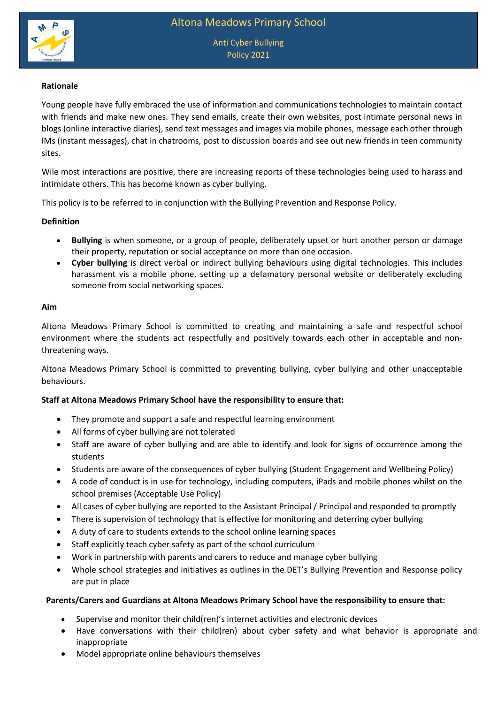

### **Rationale**

Young people have fully embraced the use of information and communications technologies to maintain contact with friends and make new ones. They send emails, create their own websites, post intimate personal news in blogs (online interactive diaries), send text messages and images via mobile phones, message each other through IMs (instant messages), chat in chatrooms, post to discussion boards and see out new friends in teen community sites.

Wile most interactions are positive, there are increasing reports of these technologies being used to harass and intimidate others. This has become known as cyber bullying.

This policy is to be referred to in conjunction with the Bullying Prevention and Response Policy.

### **Definition**

- **Bullying** is when someone, or a group of people, deliberately upset or hurt another person or damage their property, reputation or social acceptance on more than one occasion.
- **Cyber bullying** is direct verbal or indirect bullying behaviours using digital technologies. This includes harassment vis a mobile phone, setting up a defamatory personal website or deliberately excluding someone from social networking spaces.

#### **Aim**

Altona Meadows Primary School is committed to creating and maintaining a safe and respectful school environment where the students act respectfully and positively towards each other in acceptable and nonthreatening ways.

Altona Meadows Primary School is committed to preventing bullying, cyber bullying and other unacceptable behaviours.

# **Staff at Altona Meadows Primary School have the responsibility to ensure that:**

- They promote and support a safe and respectful learning environment
- All forms of cyber bullying are not tolerated
- Staff are aware of cyber bullying and are able to identify and look for signs of occurrence among the students
- Students are aware of the consequences of cyber bullying (Student Engagement and Wellbeing Policy)
- A code of conduct is in use for technology, including computers, iPads and mobile phones whilst on the school premises (Acceptable Use Policy)
- All cases of cyber bullying are reported to the Assistant Principal / Principal and responded to promptly
- There is supervision of technology that is effective for monitoring and deterring cyber bullying
- A duty of care to students extends to the school online learning spaces
- Staff explicitly teach cyber safety as part of the school curriculum
- Work in partnership with parents and carers to reduce and manage cyber bullying
- Whole school strategies and initiatives as outlines in the DET's Bullying Prevention and Response policy are put in place

#### **Parents/Carers and Guardians at Altona Meadows Primary School have the responsibility to ensure that:**

- Supervise and monitor their child(ren)'s internet activities and electronic devices
- Have conversations with their child(ren) about cyber safety and what behavior is appropriate and inappropriate
- Model appropriate online behaviours themselves